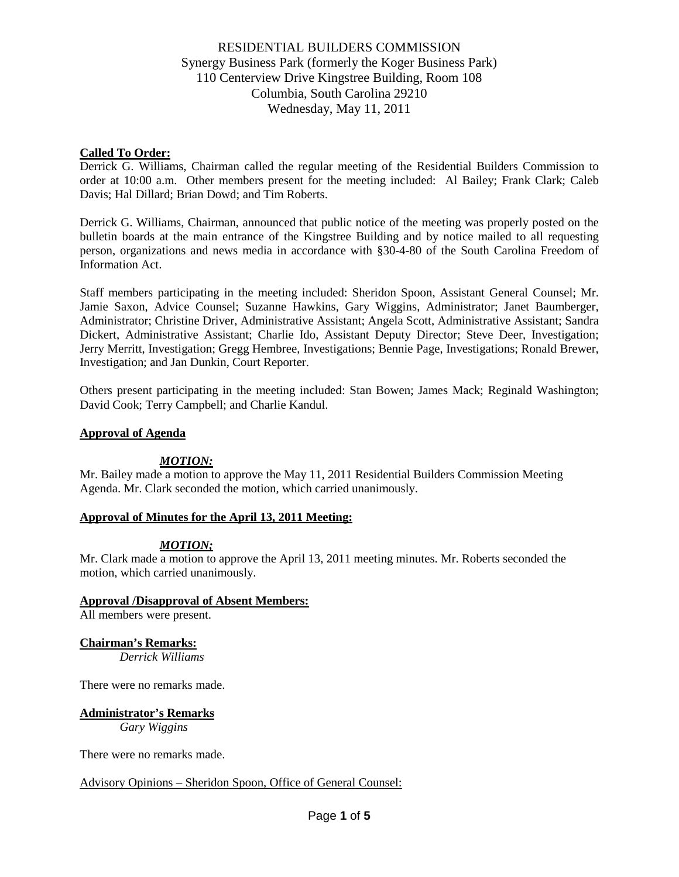#### **Called To Order:**

Derrick G. Williams, Chairman called the regular meeting of the Residential Builders Commission to order at 10:00 a.m. Other members present for the meeting included: Al Bailey; Frank Clark; Caleb Davis; Hal Dillard; Brian Dowd; and Tim Roberts.

Derrick G. Williams, Chairman, announced that public notice of the meeting was properly posted on the bulletin boards at the main entrance of the Kingstree Building and by notice mailed to all requesting person, organizations and news media in accordance with §30-4-80 of the South Carolina Freedom of Information Act.

Staff members participating in the meeting included: Sheridon Spoon, Assistant General Counsel; Mr. Jamie Saxon, Advice Counsel; Suzanne Hawkins, Gary Wiggins, Administrator; Janet Baumberger, Administrator; Christine Driver, Administrative Assistant; Angela Scott, Administrative Assistant; Sandra Dickert, Administrative Assistant; Charlie Ido, Assistant Deputy Director; Steve Deer, Investigation; Jerry Merritt, Investigation; Gregg Hembree, Investigations; Bennie Page, Investigations; Ronald Brewer, Investigation; and Jan Dunkin, Court Reporter.

Others present participating in the meeting included: Stan Bowen; James Mack; Reginald Washington; David Cook; Terry Campbell; and Charlie Kandul.

#### **Approval of Agenda**

#### *MOTION:*

Mr. Bailey made a motion to approve the May 11, 2011 Residential Builders Commission Meeting Agenda. Mr. Clark seconded the motion, which carried unanimously.

#### **Approval of Minutes for the April 13, 2011 Meeting:**

#### *MOTION;*

Mr. Clark made a motion to approve the April 13, 2011 meeting minutes. Mr. Roberts seconded the motion, which carried unanimously.

#### **Approval /Disapproval of Absent Members:**

All members were present.

#### **Chairman's Remarks:**

*Derrick Williams*

There were no remarks made.

#### **Administrator's Remarks**

*Gary Wiggins*

There were no remarks made.

#### Advisory Opinions – Sheridon Spoon, Office of General Counsel: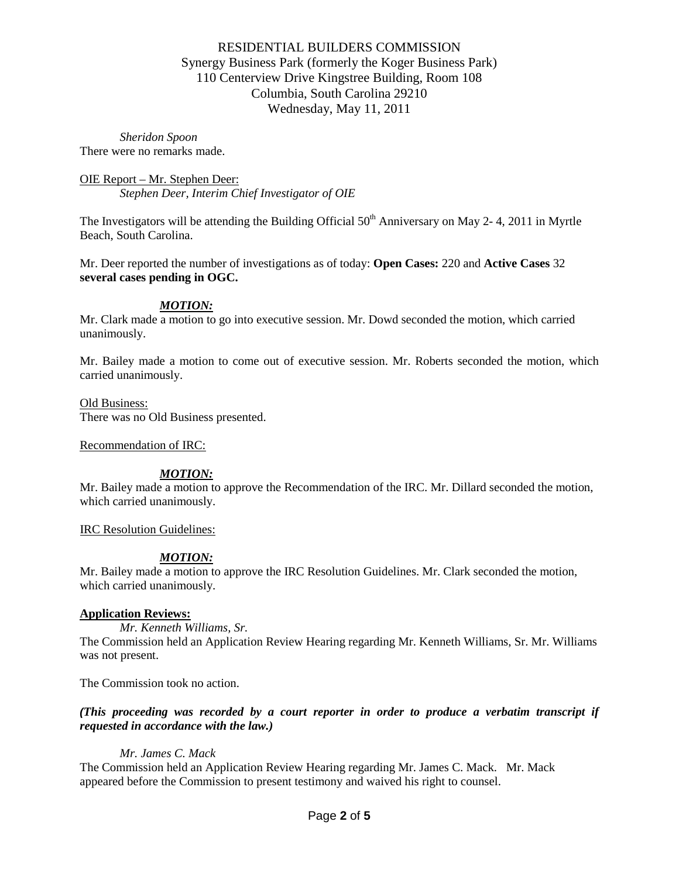*Sheridon Spoon* There were no remarks made.

OIE Report – Mr. Stephen Deer: *Stephen Deer, Interim Chief Investigator of OIE*

The Investigators will be attending the Building Official  $50<sup>th</sup>$  Anniversary on May 2-4, 2011 in Myrtle Beach, South Carolina.

Mr. Deer reported the number of investigations as of today: **Open Cases:** 220 and **Active Cases** 32 **several cases pending in OGC.** 

## *MOTION:*

Mr. Clark made a motion to go into executive session. Mr. Dowd seconded the motion, which carried unanimously.

Mr. Bailey made a motion to come out of executive session. Mr. Roberts seconded the motion, which carried unanimously.

#### Old Business:

There was no Old Business presented.

Recommendation of IRC:

#### *MOTION:*

Mr. Bailey made a motion to approve the Recommendation of the IRC. Mr. Dillard seconded the motion, which carried unanimously.

IRC Resolution Guidelines:

# *MOTION:*

Mr. Bailey made a motion to approve the IRC Resolution Guidelines. Mr. Clark seconded the motion, which carried unanimously.

#### **Application Reviews:**

*Mr. Kenneth Williams, Sr.*

The Commission held an Application Review Hearing regarding Mr. Kenneth Williams, Sr. Mr. Williams was not present.

The Commission took no action.

## *(This proceeding was recorded by a court reporter in order to produce a verbatim transcript if requested in accordance with the law.)*

#### *Mr. James C. Mack*

The Commission held an Application Review Hearing regarding Mr. James C. Mack. Mr. Mack appeared before the Commission to present testimony and waived his right to counsel.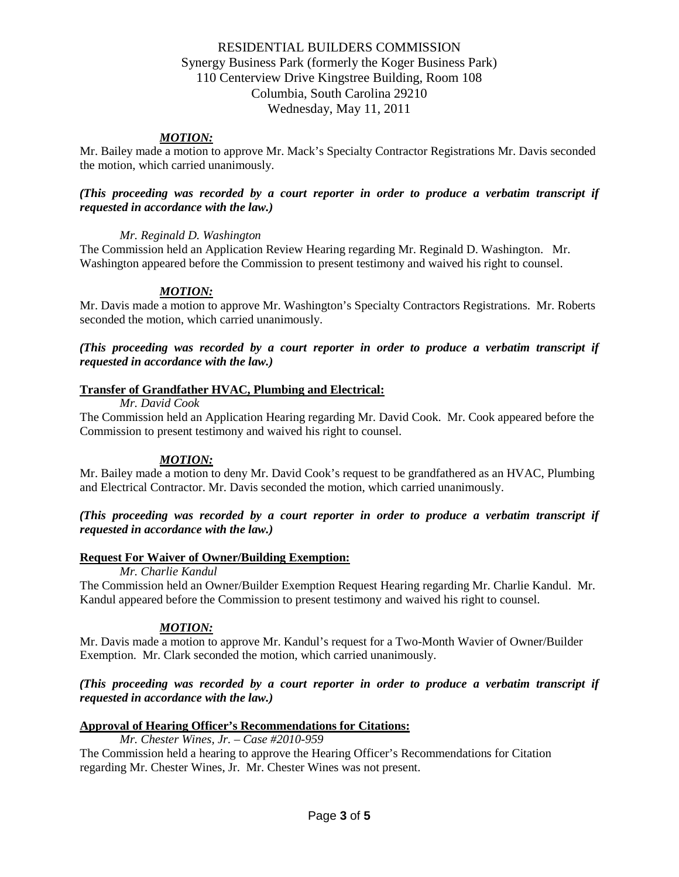## *MOTION:*

Mr. Bailey made a motion to approve Mr. Mack's Specialty Contractor Registrations Mr. Davis seconded the motion, which carried unanimously.

#### *(This proceeding was recorded by a court reporter in order to produce a verbatim transcript if requested in accordance with the law.)*

#### *Mr. Reginald D. Washington*

The Commission held an Application Review Hearing regarding Mr. Reginald D. Washington. Mr. Washington appeared before the Commission to present testimony and waived his right to counsel.

## *MOTION:*

Mr. Davis made a motion to approve Mr. Washington's Specialty Contractors Registrations. Mr. Roberts seconded the motion, which carried unanimously.

*(This proceeding was recorded by a court reporter in order to produce a verbatim transcript if requested in accordance with the law.)*

#### **Transfer of Grandfather HVAC, Plumbing and Electrical:**

#### *Mr. David Cook*

The Commission held an Application Hearing regarding Mr. David Cook. Mr. Cook appeared before the Commission to present testimony and waived his right to counsel.

# *MOTION:*

Mr. Bailey made a motion to deny Mr. David Cook's request to be grandfathered as an HVAC, Plumbing and Electrical Contractor. Mr. Davis seconded the motion, which carried unanimously.

## *(This proceeding was recorded by a court reporter in order to produce a verbatim transcript if requested in accordance with the law.)*

#### **Request For Waiver of Owner/Building Exemption:**

#### *Mr. Charlie Kandul*

The Commission held an Owner/Builder Exemption Request Hearing regarding Mr. Charlie Kandul. Mr. Kandul appeared before the Commission to present testimony and waived his right to counsel.

# *MOTION:*

Mr. Davis made a motion to approve Mr. Kandul's request for a Two-Month Wavier of Owner/Builder Exemption. Mr. Clark seconded the motion, which carried unanimously.

## *(This proceeding was recorded by a court reporter in order to produce a verbatim transcript if requested in accordance with the law.)*

#### **Approval of Hearing Officer's Recommendations for Citations:**

#### *Mr. Chester Wines, Jr. – Case #2010-959*

The Commission held a hearing to approve the Hearing Officer's Recommendations for Citation regarding Mr. Chester Wines, Jr. Mr. Chester Wines was not present.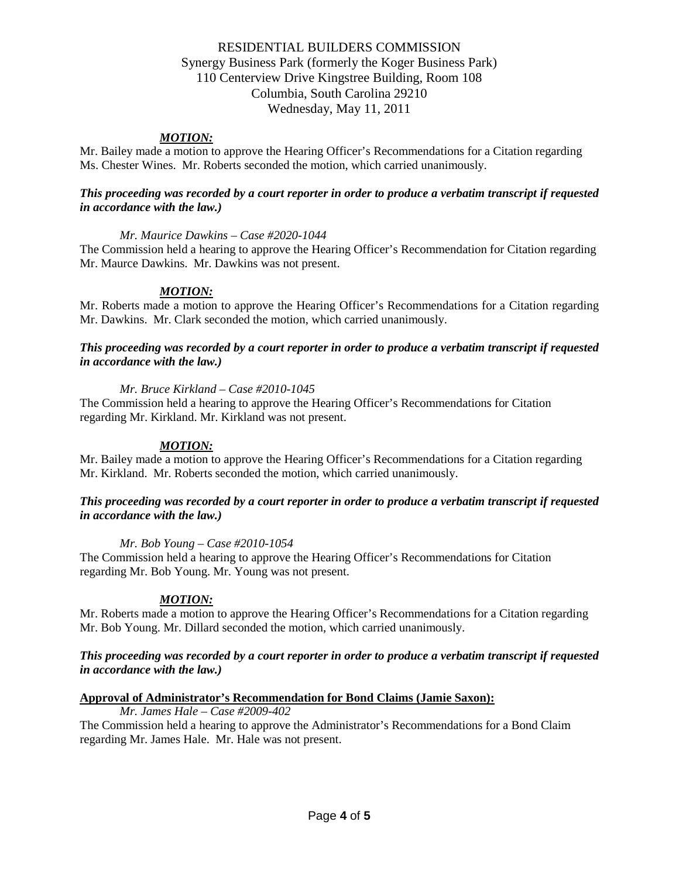## *MOTION:*

Mr. Bailey made a motion to approve the Hearing Officer's Recommendations for a Citation regarding Ms. Chester Wines. Mr. Roberts seconded the motion, which carried unanimously.

#### *This proceeding was recorded by a court reporter in order to produce a verbatim transcript if requested in accordance with the law.)*

#### *Mr. Maurice Dawkins – Case #2020-1044*

The Commission held a hearing to approve the Hearing Officer's Recommendation for Citation regarding Mr. Maurce Dawkins. Mr. Dawkins was not present.

## *MOTION:*

Mr. Roberts made a motion to approve the Hearing Officer's Recommendations for a Citation regarding Mr. Dawkins. Mr. Clark seconded the motion, which carried unanimously.

#### *This proceeding was recorded by a court reporter in order to produce a verbatim transcript if requested in accordance with the law.)*

#### *Mr. Bruce Kirkland – Case #2010-1045*

The Commission held a hearing to approve the Hearing Officer's Recommendations for Citation regarding Mr. Kirkland. Mr. Kirkland was not present.

#### *MOTION:*

Mr. Bailey made a motion to approve the Hearing Officer's Recommendations for a Citation regarding Mr. Kirkland. Mr. Roberts seconded the motion, which carried unanimously.

#### *This proceeding was recorded by a court reporter in order to produce a verbatim transcript if requested in accordance with the law.)*

#### *Mr. Bob Young – Case #2010-1054*

The Commission held a hearing to approve the Hearing Officer's Recommendations for Citation regarding Mr. Bob Young. Mr. Young was not present.

#### *MOTION:*

Mr. Roberts made a motion to approve the Hearing Officer's Recommendations for a Citation regarding Mr. Bob Young. Mr. Dillard seconded the motion, which carried unanimously.

#### *This proceeding was recorded by a court reporter in order to produce a verbatim transcript if requested in accordance with the law.)*

#### **Approval of Administrator's Recommendation for Bond Claims (Jamie Saxon):**

*Mr. James Hale – Case #2009-402* The Commission held a hearing to approve the Administrator's Recommendations for a Bond Claim regarding Mr. James Hale. Mr. Hale was not present.